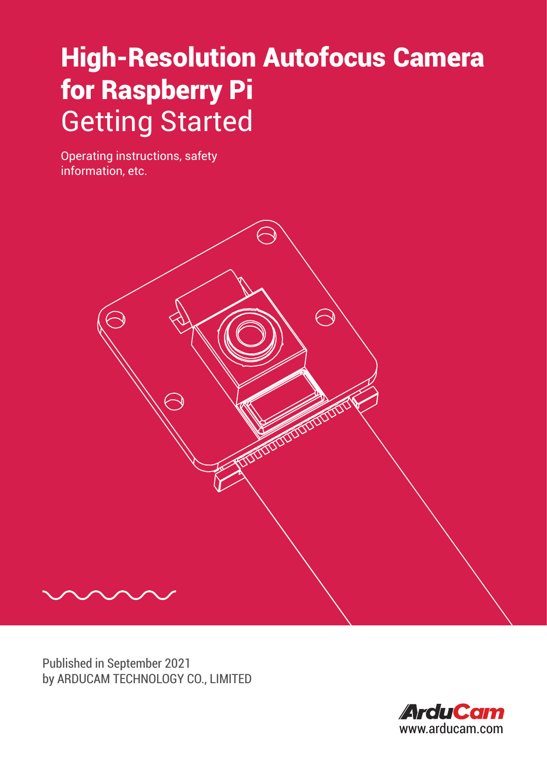# High-Resolution Autofocus Camera for Raspberry Pi Getting Started

Operating instructions, safety information, etc.



Published in September 2021 by ARDUCAM TECHNOLOGY CO., LIMITED

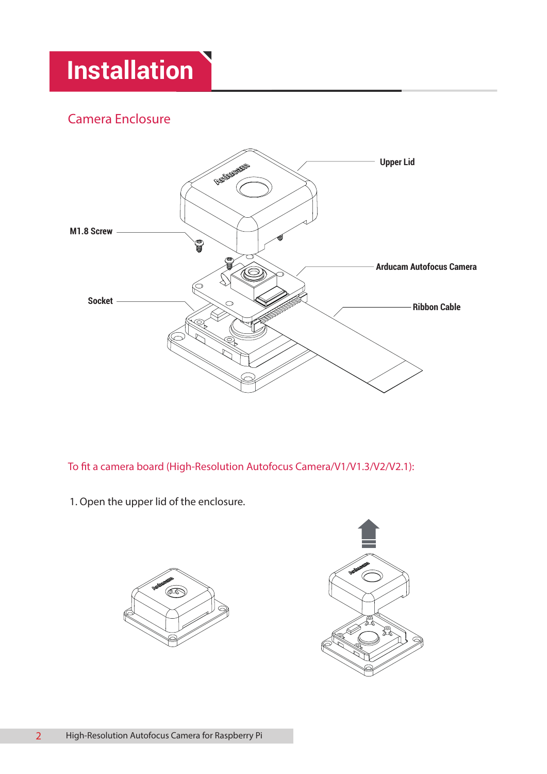### Camera Enclosure



To fit a camera board (High-Resolution Autofocus Camera/V1/V1.3/V2/V2.1):

1. Open the upper lid of the enclosure.



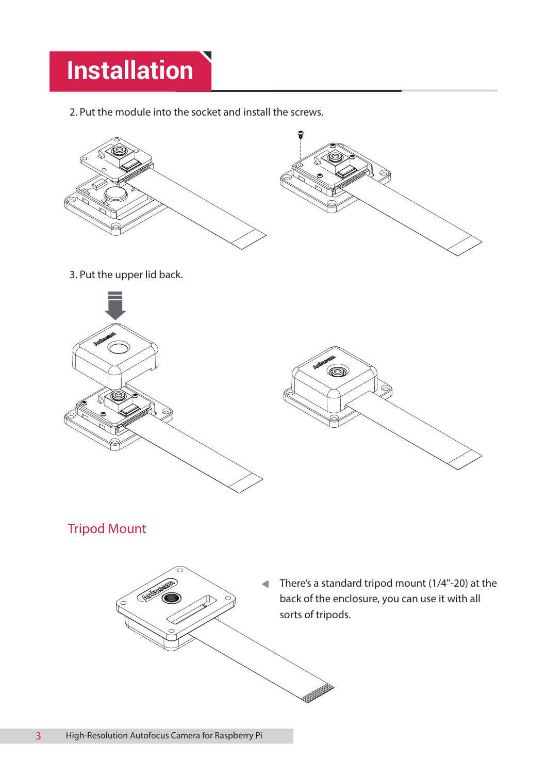2. Put the module into the socket and install the screws.



Tripod Mount

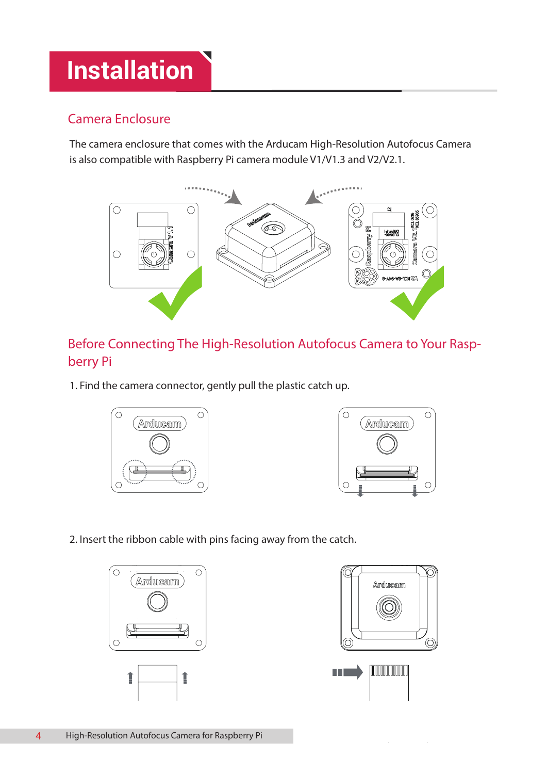### Camera Enclosure

The camera enclosure that comes with the Arducam High-Resolution Autofocus Camera is also compatible with Raspberry Pi camera module V1/V1.3 and V2/V2.1.



Before Connecting The High-Resolution Autofocus Camera to Your Raspberry Pi

1. Find the camera connector, gently pull the plastic catch up.





2. Insert the ribbon cable with pins facing away from the catch.



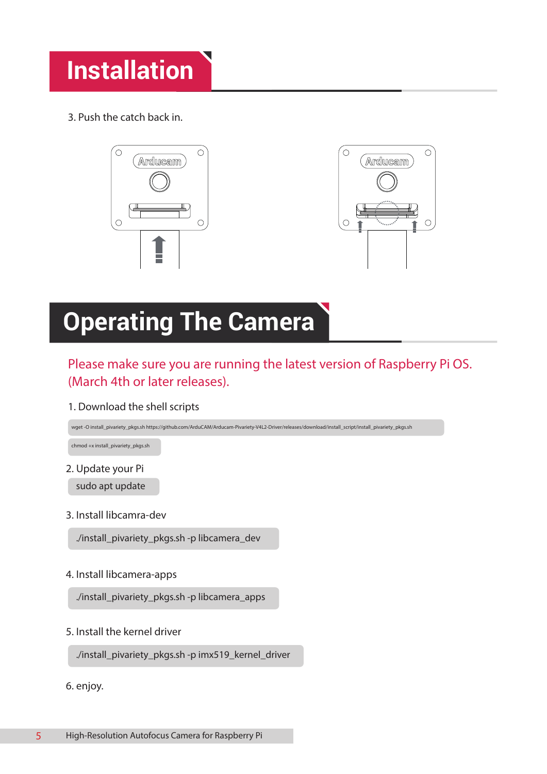3. Push the catch back in.



## **Operating The Camera**

### Please make sure you are running the latest version of Raspberry Pi OS. (March 4th or later releases).

1. Download the shell scripts

wget -O install\_pivariety\_pkgs.sh https://github.com/ArduCAM/Arducam-Pivariety-V4L2-Driver/releases/download/install\_script/install\_pivariety\_pkgs.sh

chmod +x install\_pivariety\_pkgs.sh

2. Update your Pi

sudo apt update

3. Install libcamra-dev

./install\_pivariety\_pkgs.sh -p libcamera\_dev

4. Install libcamera-apps

./install\_pivariety\_pkgs.sh -p libcamera\_apps

5. Install the kernel driver

./install\_pivariety\_pkgs.sh -p imx519\_kernel\_driver

6. enjoy.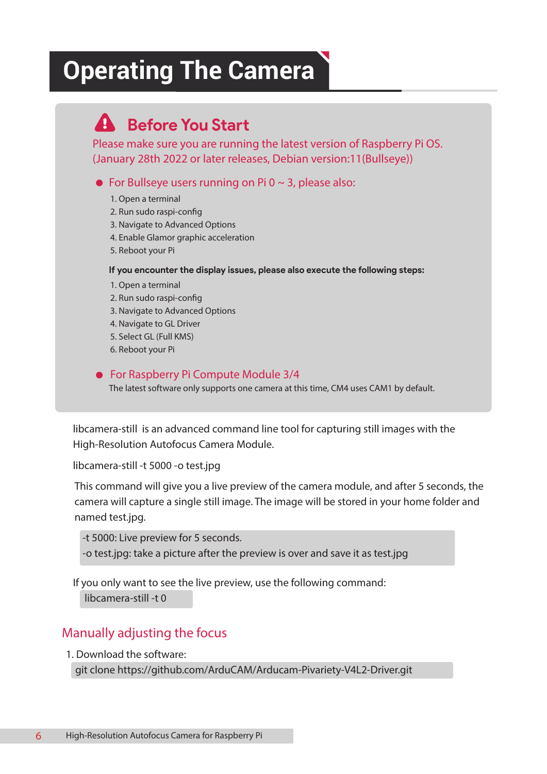## **Operating The Camera**

## **Before You Start**

Please make sure you are running the latest version of Raspberry Pi OS. (January 28th 2022 or later releases, Debian version:11(Bullseye))

• For Bullseye users running on Pi  $0 \sim 3$ , please also:

- **1. Open a terminal**
- 2. Run sudo raspi-config
- **3. Navigate to Advanced Options**
- **4. Enable Glamor graphic acceleration**
- **5. Reboot your Pi**

#### **If you encounter the display issues, please also execute the following steps:**

- **1. Open a terminal**
- 2. Run sudo raspi-config
- **3. Navigate to Advanced Options**
- **4. Navigate to GL Driver**
- **5. Select GL (Full KMS)**
- **6. Reboot your Pi**

#### ● For Raspberry Pi Compute Module 3/4

**The latest software only supports one camera at this time, CM4 uses CAM1 by default.**

**libcamera-still** is an advanced command line tool for capturing still images with the High-Resolution Autofocus Camera Module.

**libcamera-still -t 5000 -o test.jpg**

This command will give you a live preview of the camera module, and after 5 seconds, the camera will capture a single still image. The image will be stored in your home folder and named test.jpg.

**-t 5000:** Live preview for 5 seconds.

**-o test.jpg:** take a picture after the preview is over and save it as test.jpg

If you only want to see the live preview, use the following command:  **libcamera-still -t 0**

### Manually adjusting the focus

1. Download the software:

git clone https://github.com/ArduCAM/Arducam-Pivariety-V4L2-Driver.git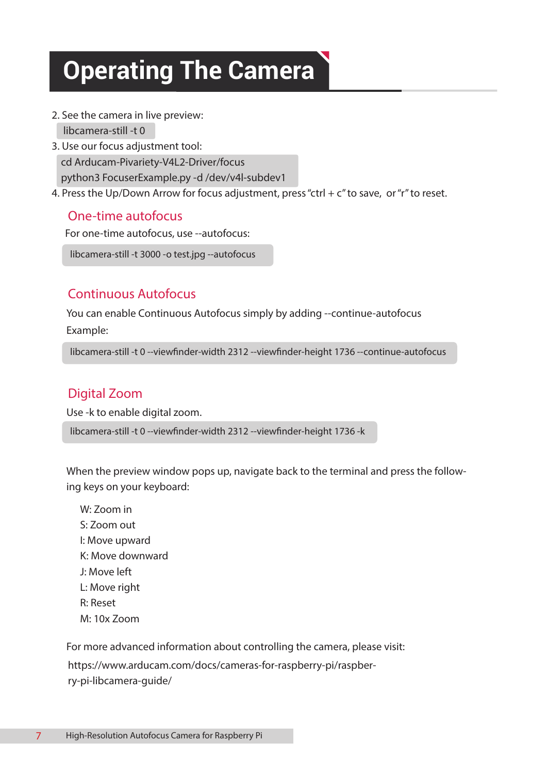# **Operating The Camera**

2. See the camera in live preview:

libcamera-still -t 0

- 3. Use our focus adjustment tool: cd Arducam-Pivariety-V4L2-Driver/focus python3 FocuserExample.py -d /dev/v4l-subdev1
- 4. Press the Up/Down Arrow for focus adjustment, press "ctrl +  $c$ " to save, or "r" to reset.

### One-time autofocus

For one-time autofocus, use --autofocus:

libcamera-still -t 3000 -o test.jpg --autofocus

### Continuous Autofocus

You can enable Continuous Autofocus simply by adding --continue-autofocus **Example:**

libcamera-still -t 0 --viewfinder-width 2312 --viewfinder-height 1736 --continue-autofocus

### Digital Zoom

Use -k to enable digital zoom.

libcamera-still -t 0 --viewfinder-width 2312 --viewfinder-height 1736 -k

**When the preview window pops up, navigate back to the terminal and press the following keys on your keyboard:**

**W: Zoom in S: Zoom out I: Move upward K: Move downward J: Move left L: Move right R: Reset M: 10x Zoom**

For more advanced information about controlling the camera, please visit: https://www.arducam.com/docs/cameras-for-raspberry-pi/raspberry-pi-libcamera-guide/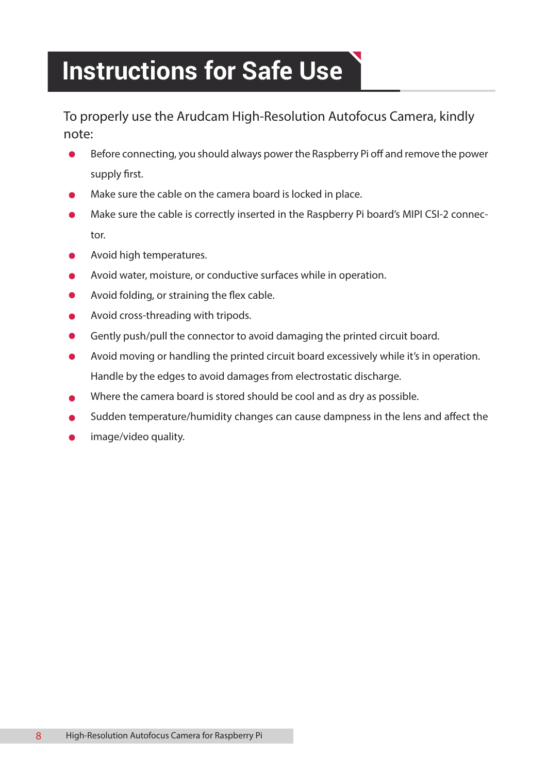## **Instructions for Safe Use**

To properly use the Arudcam High-Resolution Autofocus Camera, kindly note:

- $\bullet$ Before connecting, you should always power the Raspberry Pi off and remove the power supply first.
- Make sure the cable on the camera board is locked in place.
- Make sure the cable is correctly inserted in the Raspberry Pi board's MIPI CSI-2 connector.
- Avoid high temperatures.
- Avoid water, moisture, or conductive surfaces while in operation.
- Avoid folding, or straining the flex cable.
- Avoid cross-threading with tripods.
- Gently push/pull the connector to avoid damaging the printed circuit board.
- Avoid moving or handling the printed circuit board excessively while it's in operation.  $\bullet$ Handle by the edges to avoid damages from electrostatic discharge.
- Where the camera board is stored should be cool and as dry as possible.
- Sudden temperature/humidity changes can cause dampness in the lens and affect the
- image/video quality.